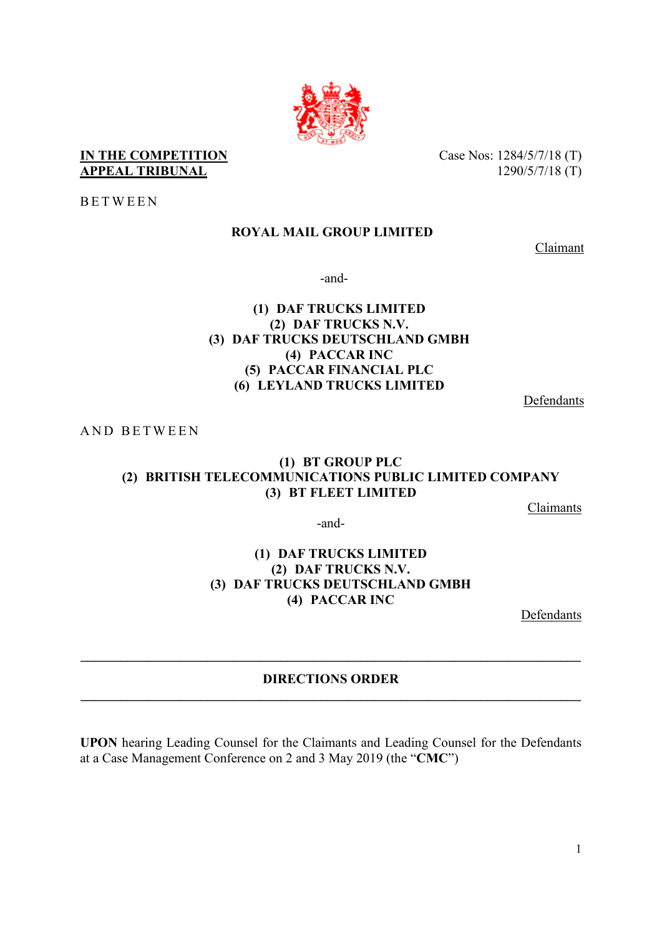

### **IN THE COMPETITION APPEAL TRIBUNAL**

Case Nos: 1284/5/7/18 (T) 1290/5/7/18 (T)

BETWEEN

# **ROYAL MAIL GROUP LIMITED**

Claimant

-and-

# **(1) DAF TRUCKS LIMITED (2) DAF TRUCKS N.V. (3) DAF TRUCKS DEUTSCHLAND GMBH (4) PACCAR INC (5) PACCAR FINANCIAL PLC (6) LEYLAND TRUCKS LIMITED**

Defendants

AND BETWEEN

# **(1) BT GROUP PLC (2) BRITISH TELECOMMUNICATIONS PUBLIC LIMITED COMPANY (3) BT FLEET LIMITED**

Claimants

-and-

### **(1) DAF TRUCKS LIMITED (2) DAF TRUCKS N.V. (3) DAF TRUCKS DEUTSCHLAND GMBH (4) PACCAR INC**

Defendants

# **DIRECTIONS ORDER \_\_\_\_\_\_\_\_\_\_\_\_\_\_\_\_\_\_\_\_\_\_\_\_\_\_\_\_\_\_\_\_\_\_\_\_\_\_\_\_\_\_\_\_\_\_\_\_\_\_\_\_\_\_\_\_\_\_\_\_\_\_\_\_\_\_\_\_\_\_\_\_\_\_\_**

**\_\_\_\_\_\_\_\_\_\_\_\_\_\_\_\_\_\_\_\_\_\_\_\_\_\_\_\_\_\_\_\_\_\_\_\_\_\_\_\_\_\_\_\_\_\_\_\_\_\_\_\_\_\_\_\_\_\_\_\_\_\_\_\_\_\_\_\_\_\_\_\_\_\_\_** 

**UPON** hearing Leading Counsel for the Claimants and Leading Counsel for the Defendants at a Case Management Conference on 2 and 3 May 2019 (the "**CMC**")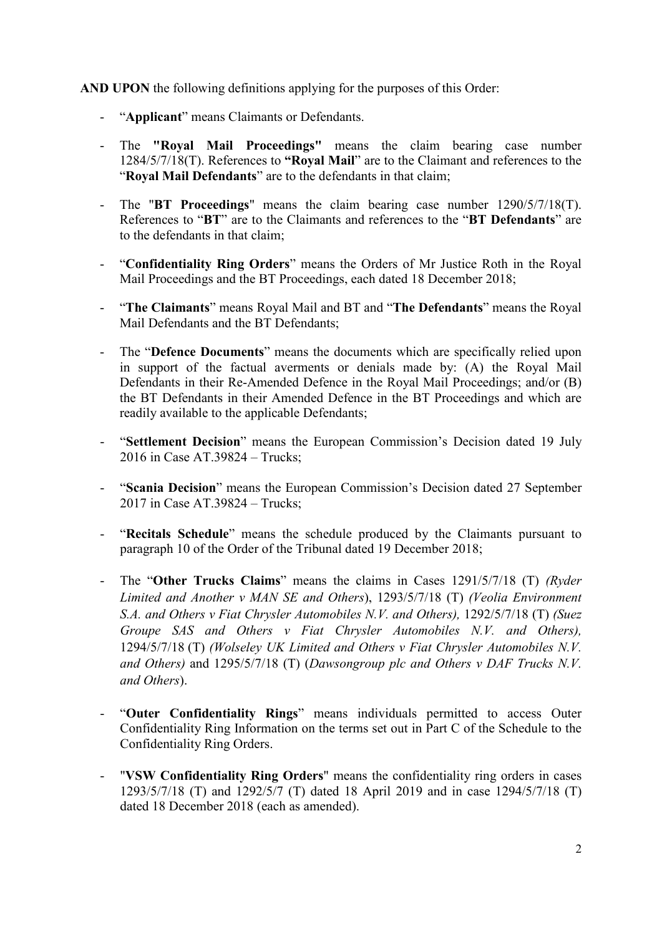**AND UPON** the following definitions applying for the purposes of this Order:

- "**Applicant**" means Claimants or Defendants.
- The **"Royal Mail Proceedings"** means the claim bearing case number 1284/5/7/18(T). References to **"Royal Mail**" are to the Claimant and references to the "**Royal Mail Defendants**" are to the defendants in that claim;
- The "**BT Proceedings**" means the claim bearing case number 1290/5/7/18(T). References to "**BT**" are to the Claimants and references to the "**BT Defendants**" are to the defendants in that claim;
- "**Confidentiality Ring Orders**" means the Orders of Mr Justice Roth in the Royal Mail Proceedings and the BT Proceedings, each dated 18 December 2018;
- "**The Claimants**" means Royal Mail and BT and "**The Defendants**" means the Royal Mail Defendants and the BT Defendants;
- The "**Defence Documents**" means the documents which are specifically relied upon in support of the factual averments or denials made by: (A) the Royal Mail Defendants in their Re-Amended Defence in the Royal Mail Proceedings; and/or (B) the BT Defendants in their Amended Defence in the BT Proceedings and which are readily available to the applicable Defendants;
- "**Settlement Decision**" means the European Commission's Decision dated 19 July 2016 in Case AT.39824 – Trucks;
- "**Scania Decision**" means the European Commission's Decision dated 27 September 2017 in Case AT.39824 – Trucks;
- "**Recitals Schedule**" means the schedule produced by the Claimants pursuant to paragraph 10 of the Order of the Tribunal dated 19 December 2018;
- The "**Other Trucks Claims**" means the claims in Cases 1291/5/7/18 (T) *(Ryder Limited and Another v MAN SE and Others*), 1293/5/7/18 (T) *(Veolia Environment S.A. and Others v Fiat Chrysler Automobiles N.V. and Others),* 1292/5/7/18 (T) *(Suez Groupe SAS and Others v Fiat Chrysler Automobiles N.V. and Others),*  1294/5/7/18 (T) *(Wolseley UK Limited and Others v Fiat Chrysler Automobiles N.V. and Others)* and 1295/5/7/18 (T) (*Dawsongroup plc and Others v DAF Trucks N.V. and Others*).
- "**Outer Confidentiality Rings**" means individuals permitted to access Outer Confidentiality Ring Information on the terms set out in Part C of the Schedule to the Confidentiality Ring Orders.
- "**VSW Confidentiality Ring Orders**" means the confidentiality ring orders in cases 1293/5/7/18 (T) and 1292/5/7 (T) dated 18 April 2019 and in case 1294/5/7/18 (T) dated 18 December 2018 (each as amended).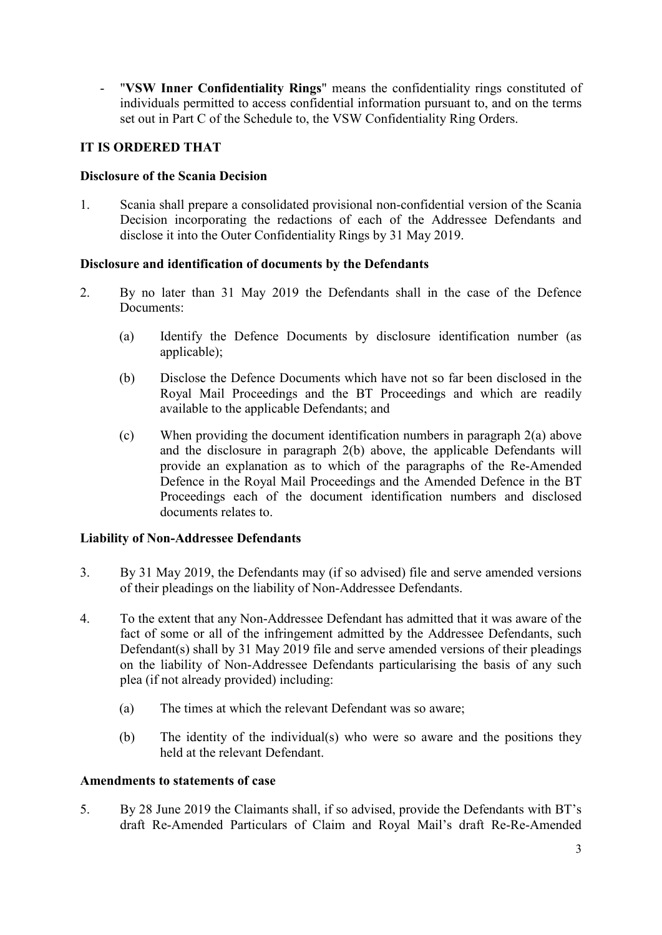- "**VSW Inner Confidentiality Rings**" means the confidentiality rings constituted of individuals permitted to access confidential information pursuant to, and on the terms set out in Part C of the Schedule to, the VSW Confidentiality Ring Orders.

# **IT IS ORDERED THAT**

### **Disclosure of the Scania Decision**

1. Scania shall prepare a consolidated provisional non-confidential version of the Scania Decision incorporating the redactions of each of the Addressee Defendants and disclose it into the Outer Confidentiality Rings by 31 May 2019.

#### **Disclosure and identification of documents by the Defendants**

- 2. By no later than 31 May 2019 the Defendants shall in the case of the Defence Documents:
	- (a) Identify the Defence Documents by disclosure identification number (as applicable);
	- (b) Disclose the Defence Documents which have not so far been disclosed in the Royal Mail Proceedings and the BT Proceedings and which are readily available to the applicable Defendants; and
	- (c) When providing the document identification numbers in paragraph 2(a) above and the disclosure in paragraph 2(b) above, the applicable Defendants will provide an explanation as to which of the paragraphs of the Re-Amended Defence in the Royal Mail Proceedings and the Amended Defence in the BT Proceedings each of the document identification numbers and disclosed documents relates to.

### **Liability of Non-Addressee Defendants**

- 3. By 31 May 2019, the Defendants may (if so advised) file and serve amended versions of their pleadings on the liability of Non-Addressee Defendants.
- 4. To the extent that any Non-Addressee Defendant has admitted that it was aware of the fact of some or all of the infringement admitted by the Addressee Defendants, such Defendant(s) shall by 31 May 2019 file and serve amended versions of their pleadings on the liability of Non-Addressee Defendants particularising the basis of any such plea (if not already provided) including:
	- (a) The times at which the relevant Defendant was so aware;
	- (b) The identity of the individual(s) who were so aware and the positions they held at the relevant Defendant.

#### **Amendments to statements of case**

5. By 28 June 2019 the Claimants shall, if so advised, provide the Defendants with BT's draft Re-Amended Particulars of Claim and Royal Mail's draft Re-Re-Amended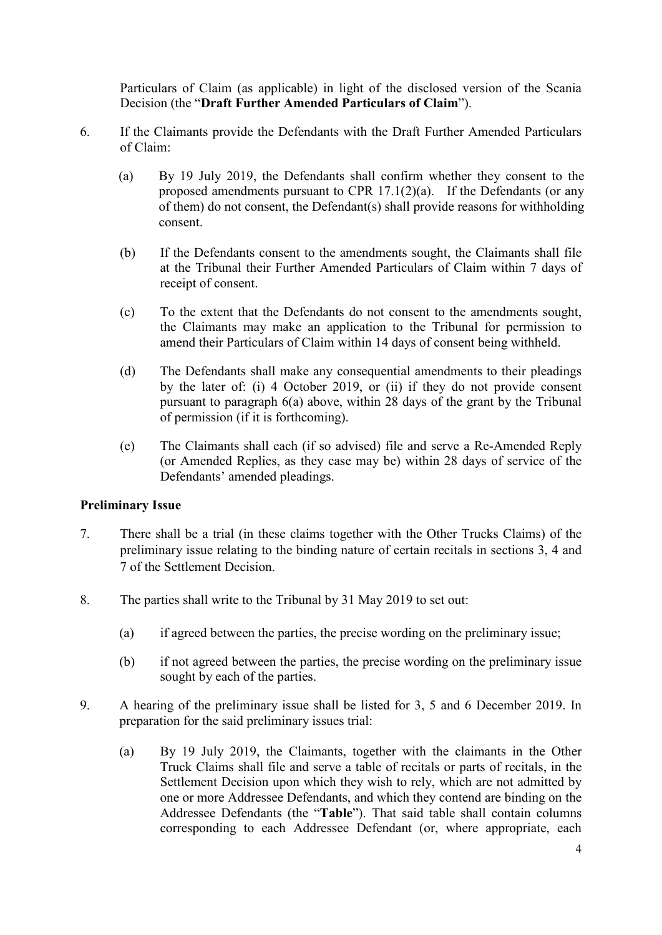Particulars of Claim (as applicable) in light of the disclosed version of the Scania Decision (the "**Draft Further Amended Particulars of Claim**").

- 6. If the Claimants provide the Defendants with the Draft Further Amended Particulars of Claim:
	- (a) By 19 July 2019, the Defendants shall confirm whether they consent to the proposed amendments pursuant to CPR 17.1(2)(a). If the Defendants (or any of them) do not consent, the Defendant(s) shall provide reasons for withholding consent.
	- (b) If the Defendants consent to the amendments sought, the Claimants shall file at the Tribunal their Further Amended Particulars of Claim within 7 days of receipt of consent.
	- (c) To the extent that the Defendants do not consent to the amendments sought, the Claimants may make an application to the Tribunal for permission to amend their Particulars of Claim within 14 days of consent being withheld.
	- (d) The Defendants shall make any consequential amendments to their pleadings by the later of: (i) 4 October 2019, or (ii) if they do not provide consent pursuant to paragraph 6(a) above, within 28 days of the grant by the Tribunal of permission (if it is forthcoming).
	- (e) The Claimants shall each (if so advised) file and serve a Re-Amended Reply (or Amended Replies, as they case may be) within 28 days of service of the Defendants' amended pleadings.

### **Preliminary Issue**

- 7. There shall be a trial (in these claims together with the Other Trucks Claims) of the preliminary issue relating to the binding nature of certain recitals in sections 3, 4 and 7 of the Settlement Decision.
- 8. The parties shall write to the Tribunal by 31 May 2019 to set out:
	- (a) if agreed between the parties, the precise wording on the preliminary issue;
	- (b) if not agreed between the parties, the precise wording on the preliminary issue sought by each of the parties.
- 9. A hearing of the preliminary issue shall be listed for 3, 5 and 6 December 2019. In preparation for the said preliminary issues trial:
	- (a) By 19 July 2019, the Claimants, together with the claimants in the Other Truck Claims shall file and serve a table of recitals or parts of recitals, in the Settlement Decision upon which they wish to rely, which are not admitted by one or more Addressee Defendants, and which they contend are binding on the Addressee Defendants (the "**Table**"). That said table shall contain columns corresponding to each Addressee Defendant (or, where appropriate, each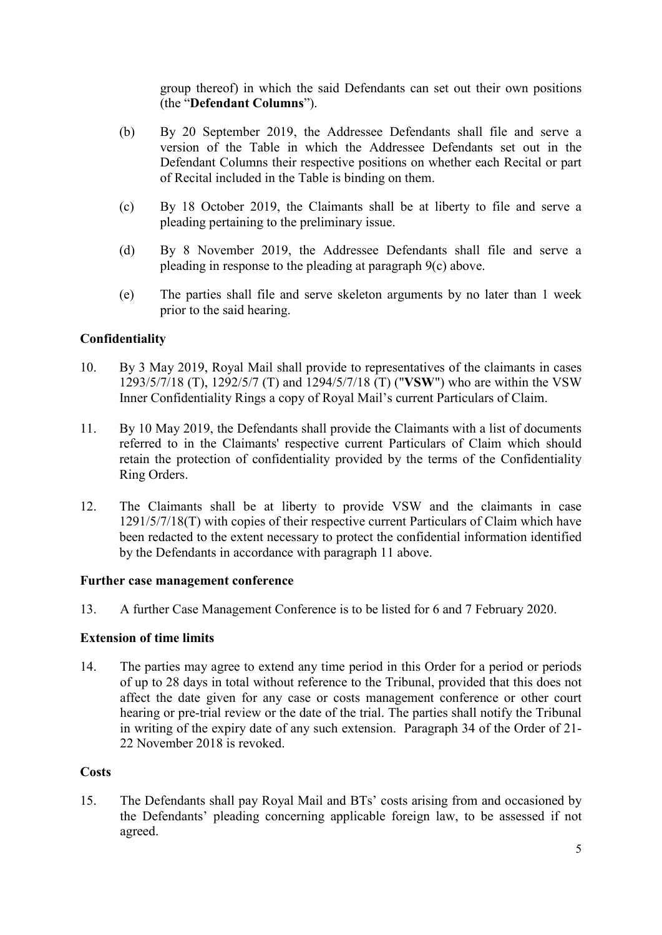group thereof) in which the said Defendants can set out their own positions (the "**Defendant Columns**").

- (b) By 20 September 2019, the Addressee Defendants shall file and serve a version of the Table in which the Addressee Defendants set out in the Defendant Columns their respective positions on whether each Recital or part of Recital included in the Table is binding on them.
- (c) By 18 October 2019, the Claimants shall be at liberty to file and serve a pleading pertaining to the preliminary issue.
- (d) By 8 November 2019, the Addressee Defendants shall file and serve a pleading in response to the pleading at paragraph 9(c) above.
- (e) The parties shall file and serve skeleton arguments by no later than 1 week prior to the said hearing.

### **Confidentiality**

- 10. By 3 May 2019, Royal Mail shall provide to representatives of the claimants in cases 1293/5/7/18 (T), 1292/5/7 (T) and 1294/5/7/18 (T) ("**VSW**") who are within the VSW Inner Confidentiality Rings a copy of Royal Mail's current Particulars of Claim.
- 11. By 10 May 2019, the Defendants shall provide the Claimants with a list of documents referred to in the Claimants' respective current Particulars of Claim which should retain the protection of confidentiality provided by the terms of the Confidentiality Ring Orders.
- 12. The Claimants shall be at liberty to provide VSW and the claimants in case 1291/5/7/18(T) with copies of their respective current Particulars of Claim which have been redacted to the extent necessary to protect the confidential information identified by the Defendants in accordance with paragraph 11 above.

#### **Further case management conference**

13. A further Case Management Conference is to be listed for 6 and 7 February 2020.

#### **Extension of time limits**

14. The parties may agree to extend any time period in this Order for a period or periods of up to 28 days in total without reference to the Tribunal, provided that this does not affect the date given for any case or costs management conference or other court hearing or pre-trial review or the date of the trial. The parties shall notify the Tribunal in writing of the expiry date of any such extension. Paragraph 34 of the Order of 21- 22 November 2018 is revoked.

#### **Costs**

15. The Defendants shall pay Royal Mail and BTs' costs arising from and occasioned by the Defendants' pleading concerning applicable foreign law, to be assessed if not agreed.